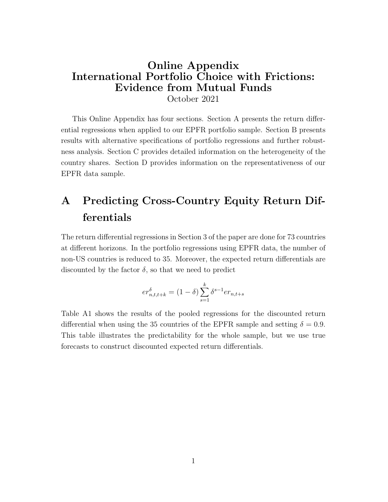### Online Appendix International Portfolio Choice with Frictions: Evidence from Mutual Funds October 2021

This Online Appendix has four sections. Section A presents the return differential regressions when applied to our EPFR portfolio sample. Section B presents results with alternative specifications of portfolio regressions and further robustness analysis. Section C provides detailed information on the heterogeneity of the country shares. Section D provides information on the representativeness of our EPFR data sample.

# A Predicting Cross-Country Equity Return Differentials

The return differential regressions in Section 3 of the paper are done for 73 countries at different horizons. In the portfolio regressions using EPFR data, the number of non-US countries is reduced to 35. Moreover, the expected return differentials are discounted by the factor  $\delta$ , so that we need to predict

$$
er^{\delta}_{n,t,t+k} = (1 - \delta) \sum_{s=1}^{k} \delta^{s-1} er_{n,t+s}
$$

Table A1 shows the results of the pooled regressions for the discounted return differential when using the 35 countries of the EPFR sample and setting  $\delta = 0.9$ . This table illustrates the predictability for the whole sample, but we use true forecasts to construct discounted expected return differentials.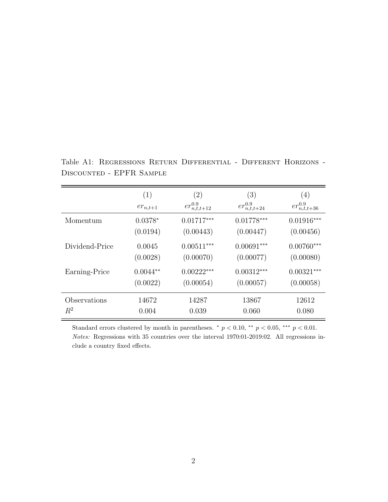|                | (1)          | $\left( 2\right)$     | (3)                   | (4)                   |
|----------------|--------------|-----------------------|-----------------------|-----------------------|
|                | $er_{n,t+1}$ | $er_{n,t,t+12}^{0.9}$ | $er_{n,t,t+24}^{0.9}$ | $er_{n,t,t+36}^{0.9}$ |
| Momentum       | $0.0378*$    | $0.01717***$          | $0.01778***$          | $0.01916***$          |
|                | (0.0194)     | (0.00443)             | (0.00447)             | (0.00456)             |
| Dividend-Price | 0.0045       | $0.00511***$          | $0.00691***$          | $0.00760***$          |
|                | (0.0028)     | (0.00070)             | (0.00077)             | (0.00080)             |
| Earning-Price  | $0.0044**$   | $0.00222***$          | $0.00312***$          | $0.00321***$          |
|                | (0.0022)     | (0.00054)             | (0.00057)             | (0.00058)             |
| Observations   | 14672        | 14287                 | 13867                 | 12612                 |
| $R^2$          | 0.004        | 0.039                 | 0.060                 | 0.080                 |

Table A1: Regressions Return Differential - Different Horizons - Discounted - EPFR Sample

Standard errors clustered by month in parentheses.  $*$   $p < 0.10$ ,  $**$   $p < 0.05$ ,  $***$   $p < 0.01$ . Notes: Regressions with 35 countries over the interval 1970:01-2019:02. All regressions include a country fixed effects.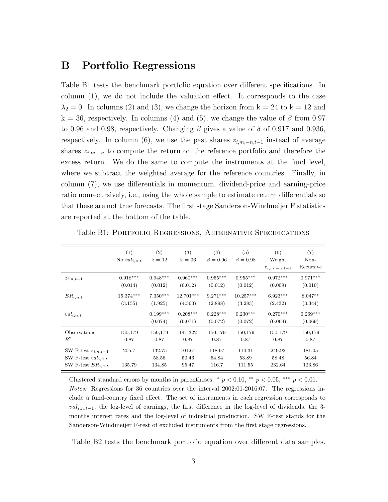#### B Portfolio Regressions

Table B1 tests the benchmark portfolio equation over different specifications. In column (1), we do not include the valuation effect. It corresponds to the case  $\lambda_2 = 0$ . In columns (2) and (3), we change the horizon from  $k = 24$  to  $k = 12$  and  $k = 36$ , respectively. In columns (4) and (5), we change the value of  $\beta$  from 0.97 to 0.96 and 0.98, respectively. Changing  $\beta$  gives a value of  $\delta$  of 0.917 and 0.936, respectively. In column (6), we use the past shares  $z_{i,m,-n,t-1}$  instead of average shares  $\bar{z}_{i,m,-n}$  to compute the return on the reference portfolio and therefore the excess return. We do the same to compute the instruments at the fund level, where we subtract the weighted average for the reference countries. Finally, in column (7), we use differentials in momentum, dividend-price and earning-price ratio nonrecursively, i.e., using the whole sample to estimate return differentials so that these are not true forecasts. The first stage Sanderson-Windmeijer F statistics are reported at the bottom of the table.

|                                                                              | (1)<br>No $val_{i,n,t}$ | (2)<br>$k = 12$           | (3)<br>$k=36$            | (4)<br>$\beta = 0.96$    | (5)<br>$\beta = 0.98$     | (6)<br>Weight<br>$z_{i,m,-n,t-1}$ | (7)<br>Non-<br>Recursive  |
|------------------------------------------------------------------------------|-------------------------|---------------------------|--------------------------|--------------------------|---------------------------|-----------------------------------|---------------------------|
| $z_{i,n,t-1}$                                                                | $0.918***$              | $0.948***$                | $0.960***$               | $0.955***$               | $0.955***$                | $0.972***$                        | $0.971***$                |
|                                                                              | (0.014)                 | (0.012)                   | (0.012)                  | (0.012)                  | (0.012)                   | (0.009)                           | (0.010)                   |
| $ER_{i.n.t}$                                                                 | $15.374***$             | $7.350***$                | 12.701***                | $9.271***$               | $10.257***$               | $6.923***$                        | $8.047**$                 |
|                                                                              | (3.155)                 | (1.925)                   | (4.563)                  | (2.898)                  | (3.283)                   | (2.432)                           | (3.344)                   |
| $val_{i,n,t}$                                                                |                         | $0.199***$<br>(0.074)     | $0.208***$<br>(0.071)    | $0.228***$<br>(0.072)    | $0.230***$<br>(0.072)     | $0.270***$<br>(0.069)             | $0.269***$<br>(0.069)     |
| Observations                                                                 | 150,179                 | 150,179                   | 141,322                  | 150,179                  | 150,179                   | 150,179                           | 150,179                   |
| $R^2$                                                                        | 0.87                    | 0.87                      | 0.87                     | 0.87                     | 0.87                      | 0.87                              | 0.87                      |
| SW F-test $z_{i,n,t-1}$<br>SW F-test $val_{i,n,t}$<br>SW F-test $ER_{i,n,t}$ | 205.7<br>135.79         | 132.75<br>58.56<br>134.85 | 101.67<br>50.46<br>95.47 | 118.97<br>54.84<br>116.7 | 114.31<br>53.89<br>111.55 | 249.92<br>58.48<br>232.64         | 181.05<br>56.84<br>123.86 |

Table B1: Portfolio Regressions, Alternative Specifications

Clustered standard errors by months in parentheses.  $\hat{p}$  = 0.10, \*\*  $p$  < 0.05, \*\*\*  $p$  < 0.01. Notes: Regressions for 36 countries over the interval 2002:01-2016:07. The regressions include a fund-country fixed effect. The set of instruments in each regression corresponds to  $val_{i,n,t-1}$ , the log-level of earnings, the first difference in the log-level of dividends, the 3months interest rates and the log-level of industrial production. SW F-test stands for the Sanderson-Windmeijer F-test of excluded instruments from the first stage regressions.

Table B2 tests the benchmark portfolio equation over different data samples.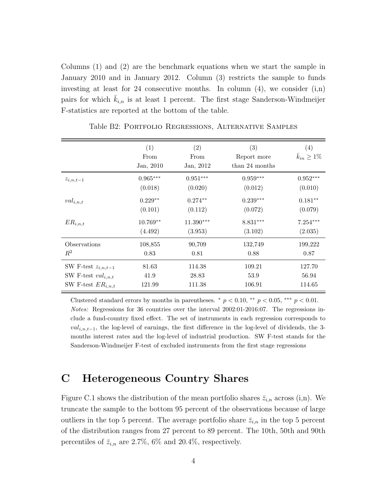Columns (1) and (2) are the benchmark equations when we start the sample in January 2010 and in January 2012. Column (3) restricts the sample to funds investing at least for 24 consecutive months. In column  $(4)$ , we consider  $(i,n)$ pairs for which  $\bar{k}_{i,n}$  is at least 1 percent. The first stage Sanderson-Windmeijer F-statistics are reported at the bottom of the table.

|                         | (1)<br>From<br>Jan, 2010 | $\left( 2\right)$<br>From<br>Jan, 2012 | (3)<br>Report more<br>than 24 months | $\left( 4\right)$<br>$\bar{k}_{in} > 1\%$ |
|-------------------------|--------------------------|----------------------------------------|--------------------------------------|-------------------------------------------|
| $z_{i,n,t-1}$           | $0.965***$               | $0.951***$                             | $0.959***$                           | $0.952***$                                |
|                         | (0.018)                  | (0.020)                                | (0.012)                              | (0.010)                                   |
| $val_{i,n,t}$           | $0.229**$                | $0.274**$                              | $0.239***$                           | $0.181**$                                 |
|                         | (0.101)                  | (0.112)                                | (0.072)                              | (0.079)                                   |
| $ER_{i,n,t}$            | $10.769**$               | 11.390***                              | 8.831***                             | $7.254***$                                |
|                         | (4.492)                  | (3.953)                                | (3.102)                              | (2.035)                                   |
| Observations            | 108,855                  | 90,709                                 | 132,749                              | 199,222                                   |
| $R^2$                   | 0.83                     | 0.81                                   | 0.88                                 | 0.87                                      |
| SW F-test $z_{i,n,t-1}$ | 81.63                    | 114.38                                 | 109.21                               | 127.70                                    |
| SW F-test $val_{i,n,t}$ | 41.9                     | 28.83                                  | 53.9                                 | 56.94                                     |
| SW F-test $ER_{i,n,t}$  | 121.99                   | 111.38                                 | 106.91                               | 114.65                                    |

Table B2: Portfolio Regressions, Alternative Samples

Clustered standard errors by months in parentheses.  $*$   $p < 0.10$ ,  $**$   $p < 0.05$ ,  $**$   $p < 0.01$ . Notes: Regressions for 36 countries over the interval 2002:01-2016:07. The regressions include a fund-country fixed effect. The set of instruments in each regression corresponds to  $val_{i,n,t-1}$ , the log-level of earnings, the first difference in the log-level of dividends, the 3months interest rates and the log-level of industrial production. SW F-test stands for the Sanderson-Windmeijer F-test of excluded instruments from the first stage regressions

## C Heterogeneous Country Shares

Figure C.1 shows the distribution of the mean portfolio shares  $\bar{z}_{i,n}$  across (i,n). We truncate the sample to the bottom 95 percent of the observations because of large outliers in the top 5 percent. The average portfolio share  $\bar{z}_{i,n}$  in the top 5 percent of the distribution ranges from 27 percent to 89 percent. The 10th, 50th and 90th percentiles of  $\bar{z}_{i,n}$  are 2.7%, 6% and 20.4%, respectively.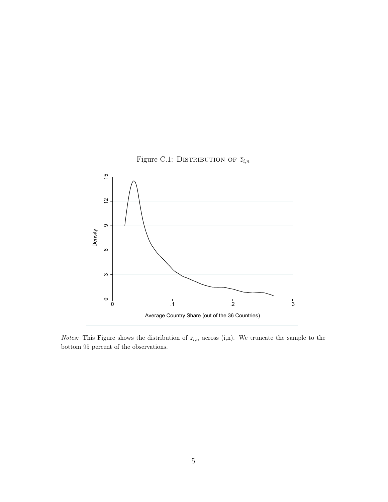



*Notes:* This Figure shows the distribution of  $\overline{z}_{i,n}$  across (i,n). We truncate the sample to the bottom 95 percent of the observations.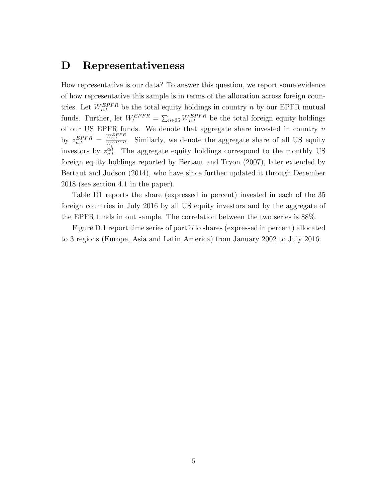#### D Representativeness

How representative is our data? To answer this question, we report some evidence of how representative this sample is in terms of the allocation across foreign countries. Let  $W_{n,t}^{EPFR}$  be the total equity holdings in country n by our EPFR mutual funds. Further, let  $W_t^{EPFR} = \sum_{n \in 35} W_{n,t}^{EPFR}$  be the total foreign equity holdings of our US EPFR funds. We denote that aggregate share invested in country  $n$ by  $z_{n,t}^{EPPR} = \frac{W_{n,t}^{EPPR}}{W_{L}^{EPPR}}$ . Similarly, we denote the aggregate share of all US equity investors by  $z_{n,t}^{all}$ . The aggregate equity holdings correspond to the monthly US foreign equity holdings reported by Bertaut and Tryon (2007), later extended by Bertaut and Judson (2014), who have since further updated it through December 2018 (see section 4.1 in the paper).

Table D1 reports the share (expressed in percent) invested in each of the 35 foreign countries in July 2016 by all US equity investors and by the aggregate of the EPFR funds in out sample. The correlation between the two series is 88%.

Figure D.1 report time series of portfolio shares (expressed in percent) allocated to 3 regions (Europe, Asia and Latin America) from January 2002 to July 2016.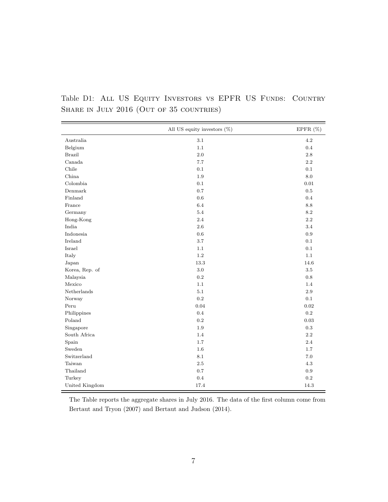|                                                                        | All US equity investors $(\%)$ | EPFR $(\%)$ |
|------------------------------------------------------------------------|--------------------------------|-------------|
| Australia                                                              | 3.1                            | 4.2         |
| Belgium                                                                | 1.1                            | 0.4         |
| <b>Brazil</b>                                                          | 2.0                            | 2.8         |
| Canada                                                                 | $7.7\,$                        | 2.2         |
| Chile                                                                  | 0.1                            | 0.1         |
| China                                                                  | $1.9\,$                        | 8.0         |
| Colombia                                                               | 0.1                            | 0.01        |
| Denmark                                                                | 0.7                            | $0.5\,$     |
| Finland                                                                | $0.6\,$                        | 0.4         |
| France                                                                 | $6.4\,$                        | $8.8\,$     |
| Germany                                                                | $5.4\,$                        | $8.2\,$     |
| Hong-Kong                                                              | 2.4                            | 2.2         |
| India                                                                  | 2.6                            | 3.4         |
| $\label{eq:Indonesia} \begin{aligned} &\text{Indonesia} \end{aligned}$ | $0.6\,$                        | $\rm 0.9$   |
| Ireland                                                                | $3.7\,$                        | 0.1         |
| Israel                                                                 | 1.1                            | 0.1         |
| Italy                                                                  | $1.2\,$                        | 1.1         |
| Japan                                                                  | 13.3                           | 14.6        |
| Korea, Rep. of                                                         | $3.0\,$                        | $3.5\,$     |
| Malaysia                                                               | $\rm 0.2$                      | $0.8\,$     |
| Mexico                                                                 | $1.1\,$                        | 1.4         |
| Netherlands                                                            | $5.1\,$                        | $2.9\,$     |
| Norway                                                                 | $\rm 0.2$                      | $0.1\,$     |
| Peru                                                                   | 0.04                           | $\rm 0.02$  |
| Philippines                                                            | $0.4\,$                        | $\rm 0.2$   |
| Poland                                                                 | $\rm 0.2$                      | $\rm 0.03$  |
| Singapore                                                              | $1.9\,$                        | $\rm 0.3$   |
| South Africa                                                           | $1.4\,$                        | $2.2\,$     |
| Spain                                                                  | 1.7                            | 2.4         |
| Sweden                                                                 | 1.6                            | 1.7         |
| Switzerland                                                            | $8.1\,$                        | 7.0         |
| Taiwan                                                                 | $2.5\,$                        | 4.3         |
| Thailand                                                               | 0.7                            | 0.9         |
| Turkey                                                                 | $\rm 0.4$                      | $\rm 0.2$   |
| United Kingdom                                                         | 17.4                           | 14.3        |

Table D1: ALL US EQUITY INVESTORS VS EPFR US FUNDS: COUNTRY SHARE IN JULY 2016 (OUT OF 35 COUNTRIES)

The Table reports the aggregate shares in July 2016. The data of the first column come from Bertaut and Tryon (2007) and Bertaut and Judson (2014).